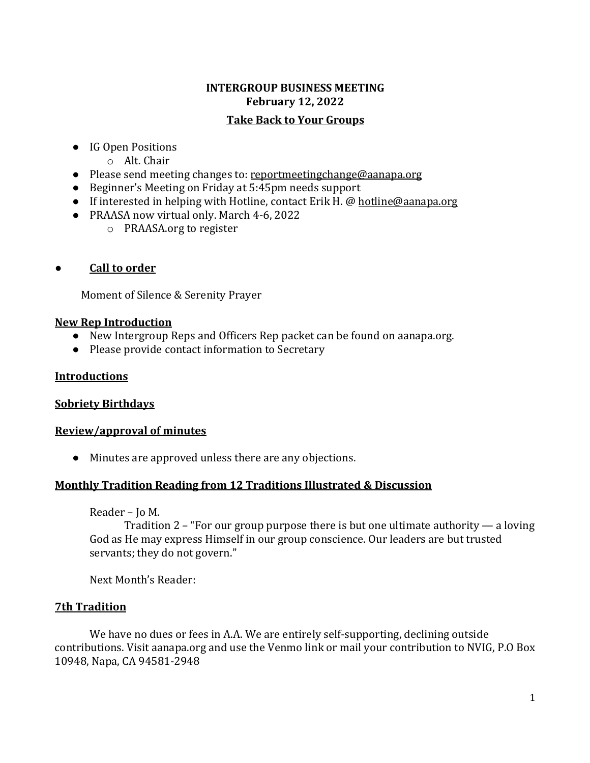# **INTERGROUP BUSINESS MEETING February 12, 2022 Take Back to Your Groups**

- IG Open Positions
	- o Alt. Chair
- Please send meeting changes to: [reportmeetingchange@aanapa.org](mailto:reportmeetingchange@aanapa.org)
- Beginner's Meeting on Friday at 5:45pm needs support
- If interested in helping with Hotline, contact Erik H. @ [hotline@aanapa.org](mailto:hotline@aanapa.org)
- PRAASA now virtual only. March 4-6, 2022
	- o PRAASA.org to register
- **Call to order**

Moment of Silence & Serenity Prayer

# **New Rep Introduction**

- New Intergroup Reps and Officers Rep packet can be found on aanapa.org.
- Please provide contact information to Secretary

# **Introductions**

# **Sobriety Birthdays**

# **Review/approval of minutes**

● Minutes are approved unless there are any objections.

# **Monthly Tradition Reading from 12 Traditions Illustrated & Discussion**

Reader – Jo M.

Tradition 2 – "For our group purpose there is but one ultimate authority — a loving God as He may express Himself in our group conscience. Our leaders are but trusted servants; they do not govern."

Next Month's Reader:

# **7th Tradition**

We have no dues or fees in A.A. We are entirely self-supporting, declining outside contributions. Visit aanapa.org and use the Venmo link or mail your contribution to NVIG, P.O Box 10948, Napa, CA 94581-2948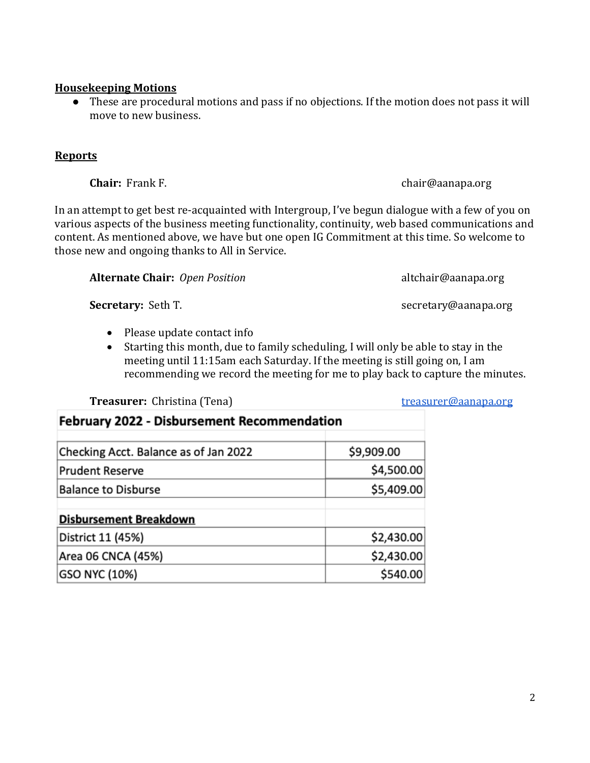2

### **Housekeeping Motions**

● These are procedural motions and pass if no objections. If the motion does not pass it will move to new business.

#### **Reports**

In an attempt to get best re-acquainted with Intergroup, I've begun dialogue with a few of you on various aspects of the business meeting functionality, continuity, web based communications and content. As mentioned above, we have but one open IG Commitment at this time. So welcome to those new and ongoing thanks to All in Service.

**Alternate Chair:** *Open Position* altchair@aanapa.org

**Secretary:** Seth T. Secretary **Secretary Secretary Constant Constant Constant Constant Constant Constant Constant Constant Constant Constant Constant Constant Constant Constant Constant Constant Constant Constant Cons** 

- Please update contact info
- Starting this month, due to family scheduling, I will only be able to stay in the meeting until 11:15am each Saturday. If the meeting is still going on, I am recommending we record the meeting for me to play back to capture the minutes.

#### **Treasurer:** Christina (Tena) [treasurer@aanapa.org](mailto:treasurer@aanapa.org)

| <b>February 2022 - Disbursement Recommendation</b> |            |  |
|----------------------------------------------------|------------|--|
| Checking Acct. Balance as of Jan 2022              | \$9,909.00 |  |
| <b>Prudent Reserve</b>                             | \$4,500.00 |  |
| <b>Balance to Disburse</b>                         | \$5,409.00 |  |
| <b>Disbursement Breakdown</b>                      |            |  |
| District 11 (45%)                                  | \$2,430.00 |  |
| Area 06 CNCA (45%)                                 | \$2,430.00 |  |
| <b>GSO NYC (10%)</b>                               | \$540.00   |  |
|                                                    |            |  |

**Chair:** Frank F. chair@aanapa.org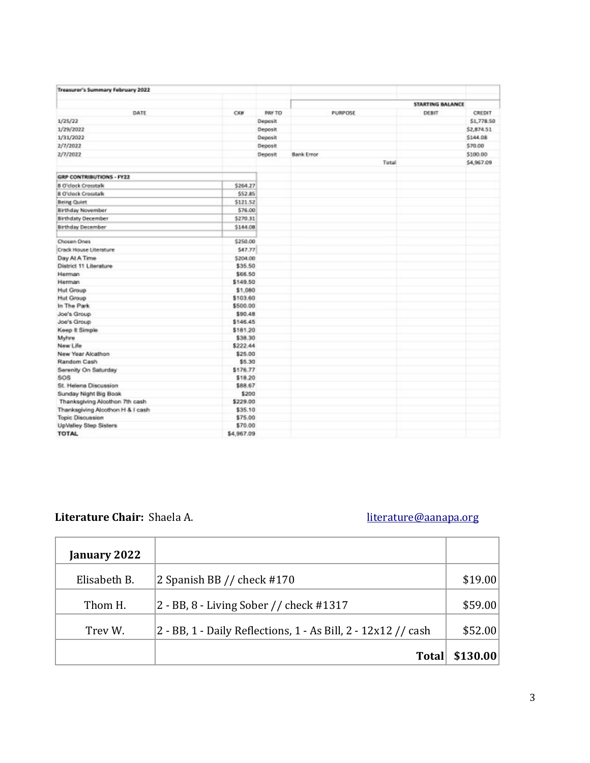| Treasurer's Summary February 2022 |            |         |                   |                         |            |
|-----------------------------------|------------|---------|-------------------|-------------------------|------------|
|                                   |            |         |                   | <b>STARTING BALANCE</b> |            |
| DATE                              | CKM        | PAY TO  | PURPOSE           | DEBIT                   | CREDIT     |
| 1/25/22                           |            | Deposit |                   |                         | \$1,778.50 |
| 1/29/2022                         |            | Deposit |                   |                         | \$2,874.51 |
| 1/31/2022                         |            | Deposit |                   |                         | \$144.08   |
| 2/7/2022                          |            | Deposit |                   |                         | \$70.00    |
| 2/7/2022                          |            | Deposit | <b>Bank Error</b> |                         | \$100.00   |
|                                   |            |         | Total             |                         | \$4,967.09 |
|                                   |            |         |                   |                         |            |
| <b>GRP CONTRIBUTIONS - FY22</b>   |            |         |                   |                         |            |
| 8 O'clock Croystalk               | \$264.27   |         |                   |                         |            |
| <b>8 O'clock Crosstalk</b>        | \$52.85    |         |                   |                         |            |
| <b>Being Coulet</b>               | \$121.52   |         |                   |                         |            |
| Birthday November                 | \$76.00    |         |                   |                         |            |
| <b>Birthdaty December</b>         | \$270.31   |         |                   |                         |            |
| <b>Birthday December</b>          | \$144.08   |         |                   |                         |            |
| Chosen Ones                       | \$250.00   |         |                   |                         |            |
| Crack House Literature            | \$47.77    |         |                   |                         |            |
| Day At A Time                     | \$204.00   |         |                   |                         |            |
| District 11 Literature            | \$35.50    |         |                   |                         |            |
| Herman                            | \$66.50    |         |                   |                         |            |
| Herman                            | \$149.50   |         |                   |                         |            |
| <b>Hut Group</b>                  | \$1,080    |         |                   |                         |            |
| <b>Hut Group</b>                  | \$103.60   |         |                   |                         |            |
| In The Park                       | \$500.00   |         |                   |                         |            |
| Joe's Group                       | \$90.48    |         |                   |                         |            |
| Joe's Group                       | \$146.45   |         |                   |                         |            |
| Keep It Simple                    | \$181.20   |         |                   |                         |            |
| Myhre                             | \$38.30    |         |                   |                         |            |
| New Life                          | \$222.44   |         |                   |                         |            |
| New Year Alcathon                 | \$25.00    |         |                   |                         |            |
| Random Cash                       | \$5.30     |         |                   |                         |            |
| Serenity On Saturday              | \$176.77   |         |                   |                         |            |
| <b>SOS</b>                        | \$18.20    |         |                   |                         |            |
| St. Helena Discussion             | \$88.67    |         |                   |                         |            |
| Sunday Night Big Book             | \$200      |         |                   |                         |            |
| Thanksgiving Alcothon 7th cash    | \$229.00   |         |                   |                         |            |
| Thanksgiving Alcothon H & I cash  | \$35.10    |         |                   |                         |            |
| Topic Discussion                  | \$75.00    |         |                   |                         |            |
| UpValley Step Sisters             | \$70.00    |         |                   |                         |            |
| <b>TOTAL</b>                      | \$4,967.09 |         |                   |                         |            |

# Literature Chair: Shaela A. [literature@aanapa.org](mailto:literature@aanapa.org)

| January 2022 |                                                               |          |
|--------------|---------------------------------------------------------------|----------|
| Elisabeth B. | 2 Spanish BB $//$ check #170                                  | \$19.00  |
| Thom H.      | 2 - BB, 8 - Living Sober // check #1317                       | \$59.00  |
| Trev W.      | 2 - BB, 1 - Daily Reflections, 1 - As Bill, 2 - 12x12 // cash | \$52.00  |
|              | <b>Total</b>                                                  | \$130.00 |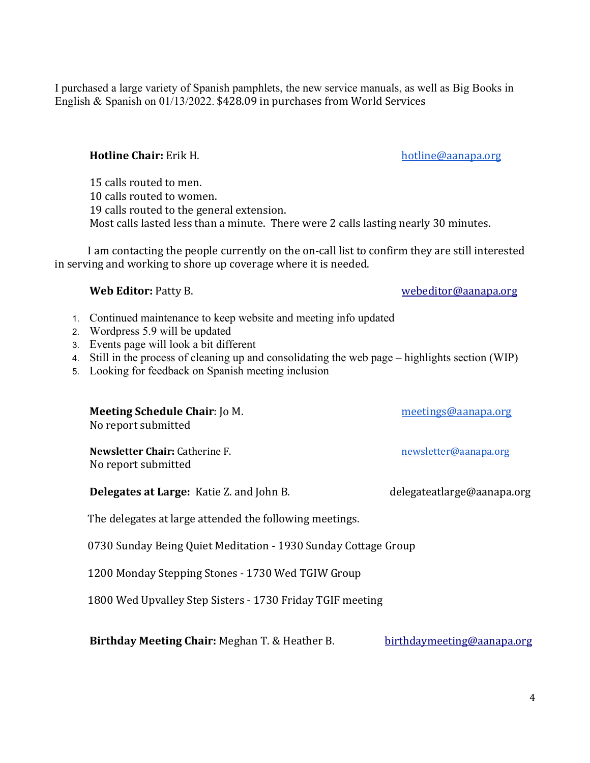I purchased a large variety of Spanish pamphlets, the new service manuals, as well as Big Books in English & Spanish on 01/13/2022. \$428.09 in purchases from World Services

### **Hotline Chair:** Erik H. **http://www.franchilderival.org** [hotline@aanapa.org](mailto:hotline@aanapa.org)

15 calls routed to men. 10 calls routed to women. 19 calls routed to the general extension. Most calls lasted less than a minute. There were 2 calls lasting nearly 30 minutes.

 I am contacting the people currently on the on-call list to confirm they are still interested in serving and working to shore up coverage where it is needed.

- 1. Continued maintenance to keep website and meeting info updated
- 2. Wordpress 5.9 will be updated
- 3. Events page will look a bit different
- 4. Still in the process of cleaning up and consolidating the web page highlights section (WIP)
- 5. Looking for feedback on Spanish meeting inclusion

| <b>Meeting Schedule Chair: Jo M.</b><br>No report submitted    | meetings@aanapa.org        |
|----------------------------------------------------------------|----------------------------|
| <b>Newsletter Chair: Catherine F.</b><br>No report submitted   | newsletter@aanapa.org      |
| <b>Delegates at Large:</b> Katie Z. and John B.                | delegateatlarge@aanapa.org |
| The delegates at large attended the following meetings.        |                            |
| 0730 Sunday Being Quiet Meditation - 1930 Sunday Cottage Group |                            |
| 1200 Monday Stepping Stones - 1730 Wed TGIW Group              |                            |
| 1800 Wed Upvalley Step Sisters - 1730 Friday TGIF meeting      |                            |

**Birthday Meeting Chair:** Meghan T. & Heather B. [birthdaymeeting@aanapa.org](mailto:birthdaymeeting@aanapa.org)

**Web Editor:** Patty B. [webeditor@aanapa.org](mailto:webeditor@aanapa.org)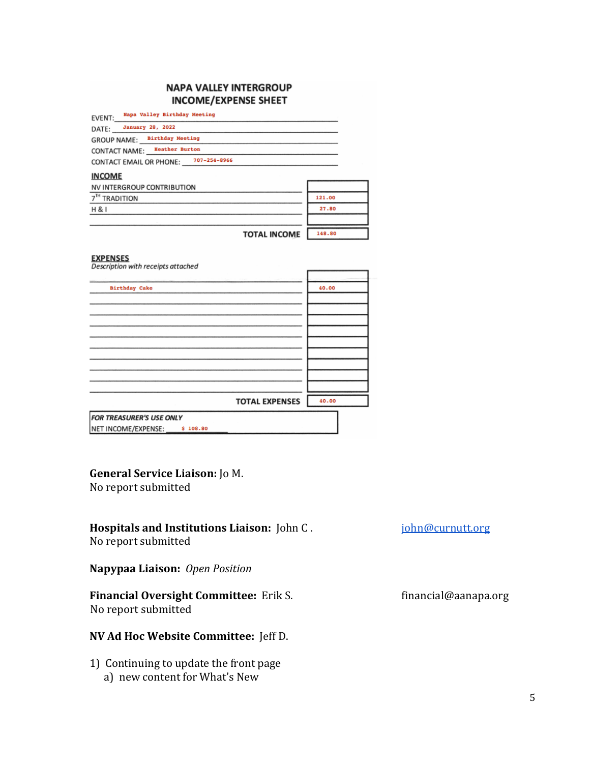#### **NAPA VALLEY INTERGROUP INCOME/EXPENSE SHEET**

| EVENT: Napa Valley Birthday Meeting                   |        |
|-------------------------------------------------------|--------|
| DATE: January 28, 2022                                |        |
| GROUP NAME: Birthday Meeting                          |        |
| CONTACT NAME: Heather Burton                          |        |
| CONTACT EMAIL OR PHONE: 707-254-8966                  |        |
| <b>INCOME</b>                                         |        |
| <b>NV INTERGROUP CONTRIBUTION</b>                     |        |
| 7 <sup>TH</sup> TRADITION                             | 121.00 |
| <b>H&amp;I</b>                                        | 27.80  |
|                                                       |        |
| <b>TOTAL INCOME</b>                                   | 148.80 |
| <b>EXPENSES</b><br>Description with receipts attached |        |
|                                                       |        |
| <b>Birthday Cake</b>                                  | 40.00  |
|                                                       |        |

|                                              | <b>TOTAL EXPENSES</b> | 40.00 |
|----------------------------------------------|-----------------------|-------|
| <b>FOR TREASURER'S USE ONLY</b>              |                       |       |
| NET INCOME/EXPENSE:<br>$S^{\circ}$<br>108.80 |                       |       |

### **General Service Liaison:** Jo M.

No report submitted

# **Hospitals and Institutions Liaison:** John C. *[john@curnutt.org](mailto:john@curnutt.org)*

No report submitted

**Napypaa Liaison:** *Open Position*

# Financial Oversight Committee: Erik S. [financial@aanapa.org](mailto:financial@aanapa.org) No report submitted

# **NV Ad Hoc Website Committee:** Jeff D.

1) Continuing to update the front page a) new content for What's New